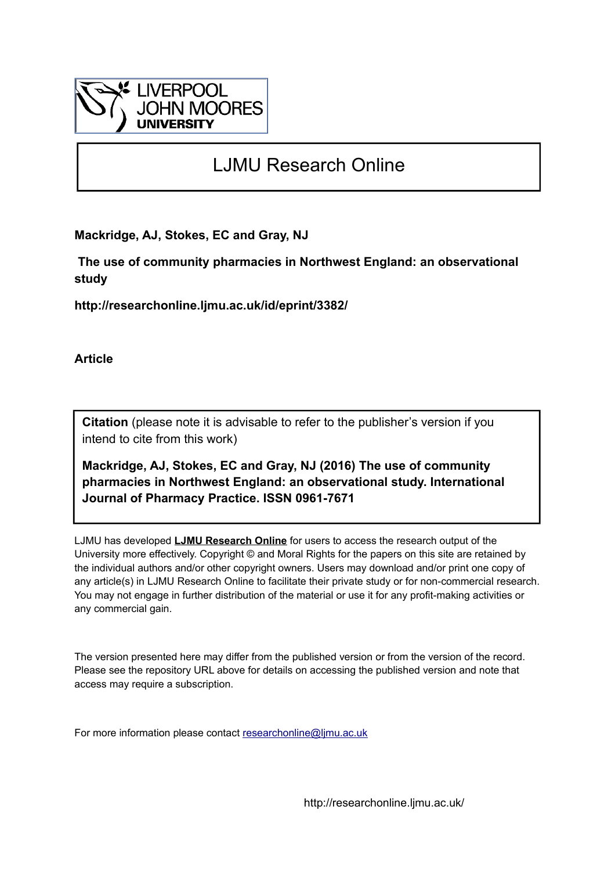

# LJMU Research Online

**Mackridge, AJ, Stokes, EC and Gray, NJ**

 **The use of community pharmacies in Northwest England: an observational study**

**http://researchonline.ljmu.ac.uk/id/eprint/3382/**

**Article**

**Citation** (please note it is advisable to refer to the publisher's version if you intend to cite from this work)

**Mackridge, AJ, Stokes, EC and Gray, NJ (2016) The use of community pharmacies in Northwest England: an observational study. International Journal of Pharmacy Practice. ISSN 0961-7671** 

LJMU has developed **[LJMU Research Online](http://researchonline.ljmu.ac.uk/)** for users to access the research output of the University more effectively. Copyright © and Moral Rights for the papers on this site are retained by the individual authors and/or other copyright owners. Users may download and/or print one copy of any article(s) in LJMU Research Online to facilitate their private study or for non-commercial research. You may not engage in further distribution of the material or use it for any profit-making activities or any commercial gain.

The version presented here may differ from the published version or from the version of the record. Please see the repository URL above for details on accessing the published version and note that access may require a subscription.

For more information please contact [researchonline@ljmu.ac.uk](mailto:researchonline@ljmu.ac.uk)

http://researchonline.ljmu.ac.uk/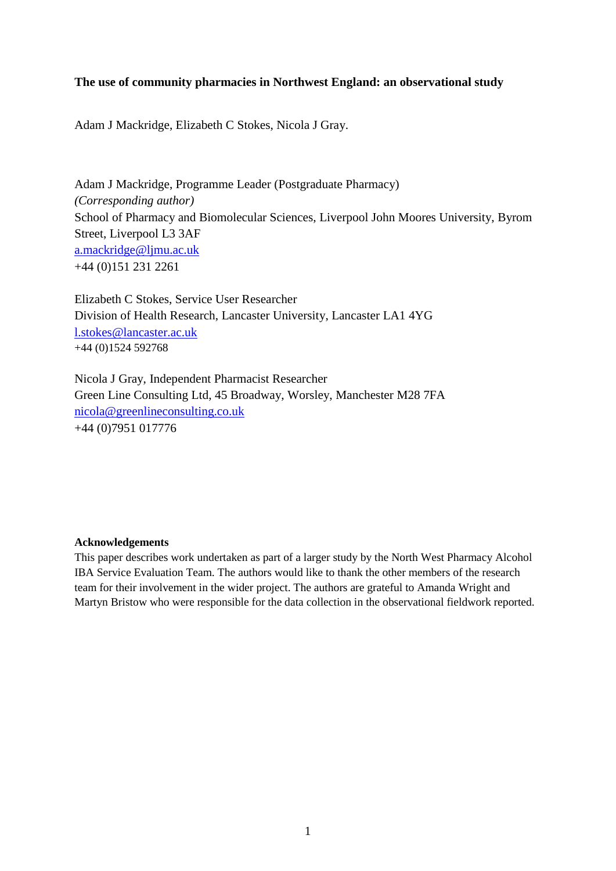## **The use of community pharmacies in Northwest England: an observational study**

Adam J Mackridge, Elizabeth C Stokes, Nicola J Gray.

Adam J Mackridge, Programme Leader (Postgraduate Pharmacy) *(Corresponding author)* School of Pharmacy and Biomolecular Sciences, Liverpool John Moores University, Byrom Street, Liverpool L3 3AF [a.mackridge@ljmu.ac.uk](mailto:a.mackridge@ljmu.ac.uk) +44 (0)151 231 2261

Elizabeth C Stokes, Service User Researcher Division of Health Research, Lancaster University, Lancaster LA1 4YG [l.stokes@lancaster.ac.uk](mailto:l.stokes@lancaster.ac.uk) +44 (0)1524 592768

Nicola J Gray, Independent Pharmacist Researcher Green Line Consulting Ltd, 45 Broadway, Worsley, Manchester M28 7FA [nicola@greenlineconsulting.co.uk](mailto:nicola@greenlineconsulting.co.uk) +44 (0)7951 017776

## **Acknowledgements**

This paper describes work undertaken as part of a larger study by the North West Pharmacy Alcohol IBA Service Evaluation Team. The authors would like to thank the other members of the research team for their involvement in the wider project. The authors are grateful to Amanda Wright and Martyn Bristow who were responsible for the data collection in the observational fieldwork reported.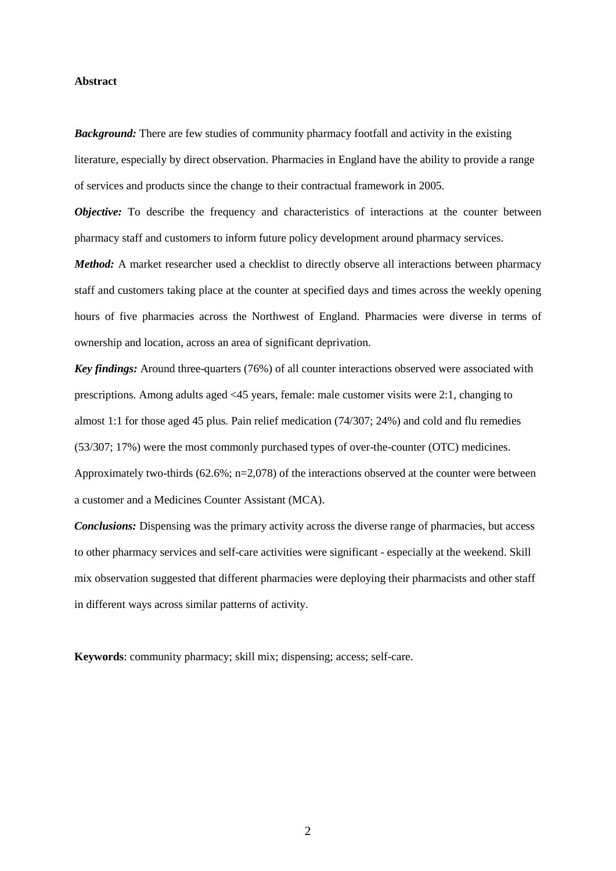## **Abstract**

*Background:* There are few studies of community pharmacy footfall and activity in the existing literature, especially by direct observation. Pharmacies in England have the ability to provide a range of services and products since the change to their contractual framework in 2005.

*Objective:* To describe the frequency and characteristics of interactions at the counter between pharmacy staff and customers to inform future policy development around pharmacy services.

*Method:* A market researcher used a checklist to directly observe all interactions between pharmacy staff and customers taking place at the counter at specified days and times across the weekly opening hours of five pharmacies across the Northwest of England. Pharmacies were diverse in terms of ownership and location, across an area of significant deprivation.

*Key findings:* Around three-quarters (76%) of all counter interactions observed were associated with prescriptions. Among adults aged <45 years, female: male customer visits were 2:1, changing to almost 1:1 for those aged 45 plus. Pain relief medication (74/307; 24%) and cold and flu remedies (53/307; 17%) were the most commonly purchased types of over-the-counter (OTC) medicines. Approximately two-thirds  $(62.6\%; n=2.078)$  of the interactions observed at the counter were between a customer and a Medicines Counter Assistant (MCA).

*Conclusions:* Dispensing was the primary activity across the diverse range of pharmacies, but access to other pharmacy services and self-care activities were significant - especially at the weekend. Skill mix observation suggested that different pharmacies were deploying their pharmacists and other staff in different ways across similar patterns of activity.

**Keywords**: community pharmacy; skill mix; dispensing; access; self-care.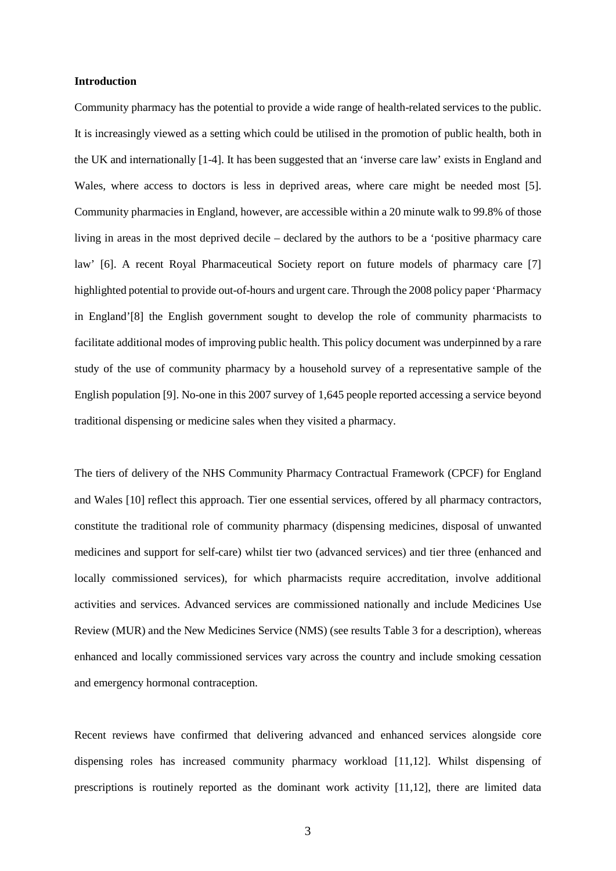#### **Introduction**

Community pharmacy has the potential to provide a wide range of health-related services to the public. It is increasingly viewed as a setting which could be utilised in the promotion of public health, both in the UK and internationally [1-4]. It has been suggested that an 'inverse care law' exists in England and Wales, where access to doctors is less in deprived areas, where care might be needed most [5]. Community pharmacies in England, however, are accessible within a 20 minute walk to 99.8% of those living in areas in the most deprived decile – declared by the authors to be a 'positive pharmacy care law' [6]. A recent Royal Pharmaceutical Society report on future models of pharmacy care [7] highlighted potential to provide out-of-hours and urgent care. Through the 2008 policy paper 'Pharmacy in England'[8] the English government sought to develop the role of community pharmacists to facilitate additional modes of improving public health. This policy document was underpinned by a rare study of the use of community pharmacy by a household survey of a representative sample of the English population [9]. No-one in this 2007 survey of 1,645 people reported accessing a service beyond traditional dispensing or medicine sales when they visited a pharmacy.

The tiers of delivery of the NHS Community Pharmacy Contractual Framework (CPCF) for England and Wales [10] reflect this approach. Tier one essential services, offered by all pharmacy contractors, constitute the traditional role of community pharmacy (dispensing medicines, disposal of unwanted medicines and support for self-care) whilst tier two (advanced services) and tier three (enhanced and locally commissioned services), for which pharmacists require accreditation, involve additional activities and services. Advanced services are commissioned nationally and include Medicines Use Review (MUR) and the New Medicines Service (NMS) (see results Table 3 for a description), whereas enhanced and locally commissioned services vary across the country and include smoking cessation and emergency hormonal contraception.

Recent reviews have confirmed that delivering advanced and enhanced services alongside core dispensing roles has increased community pharmacy workload [11,12]. Whilst dispensing of prescriptions is routinely reported as the dominant work activity [11,12], there are limited data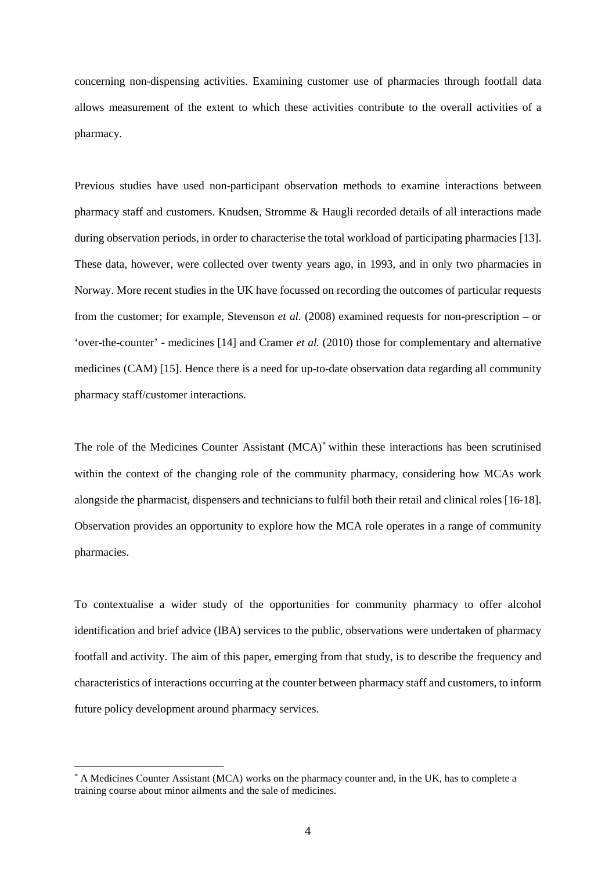concerning non-dispensing activities. Examining customer use of pharmacies through footfall data allows measurement of the extent to which these activities contribute to the overall activities of a pharmacy.

Previous studies have used non-participant observation methods to examine interactions between pharmacy staff and customers. Knudsen, Stromme & Haugli recorded details of all interactions made during observation periods, in order to characterise the total workload of participating pharmacies [13]. These data, however, were collected over twenty years ago, in 1993, and in only two pharmacies in Norway. More recent studies in the UK have focussed on recording the outcomes of particular requests from the customer; for example, Stevenson *et al.* (2008) examined requests for non-prescription – or 'over-the-counter' - medicines [14] and Cramer *et al.* (2010) those for complementary and alternative medicines (CAM) [15]. Hence there is a need for up-to-date observation data regarding all community pharmacy staff/customer interactions.

The role of the Medicines Counter Assistant (MCA)[\\*](#page-4-0) within these interactions has been scrutinised within the context of the changing role of the community pharmacy, considering how MCAs work alongside the pharmacist, dispensers and technicians to fulfil both their retail and clinical roles [16-18]. Observation provides an opportunity to explore how the MCA role operates in a range of community pharmacies.

To contextualise a wider study of the opportunities for community pharmacy to offer alcohol identification and brief advice (IBA) services to the public, observations were undertaken of pharmacy footfall and activity. The aim of this paper, emerging from that study, is to describe the frequency and characteristics of interactions occurring at the counter between pharmacy staff and customers, to inform future policy development around pharmacy services.

<span id="page-4-0"></span>A Medicines Counter Assistant (MCA) works on the pharmacy counter and, in the UK, has to complete a training course about minor ailments and the sale of medicines.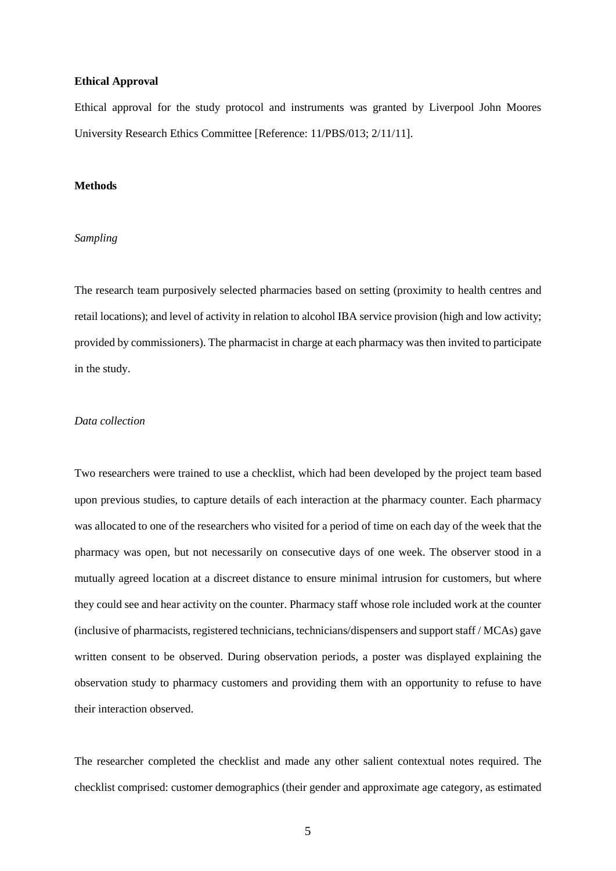## **Ethical Approval**

Ethical approval for the study protocol and instruments was granted by Liverpool John Moores University Research Ethics Committee [Reference: 11/PBS/013; 2/11/11].

## **Methods**

## *Sampling*

The research team purposively selected pharmacies based on setting (proximity to health centres and retail locations); and level of activity in relation to alcohol IBA service provision (high and low activity; provided by commissioners). The pharmacist in charge at each pharmacy was then invited to participate in the study.

## *Data collection*

Two researchers were trained to use a checklist, which had been developed by the project team based upon previous studies, to capture details of each interaction at the pharmacy counter. Each pharmacy was allocated to one of the researchers who visited for a period of time on each day of the week that the pharmacy was open, but not necessarily on consecutive days of one week. The observer stood in a mutually agreed location at a discreet distance to ensure minimal intrusion for customers, but where they could see and hear activity on the counter. Pharmacy staff whose role included work at the counter (inclusive of pharmacists, registered technicians, technicians/dispensers and support staff / MCAs) gave written consent to be observed. During observation periods, a poster was displayed explaining the observation study to pharmacy customers and providing them with an opportunity to refuse to have their interaction observed.

The researcher completed the checklist and made any other salient contextual notes required. The checklist comprised: customer demographics (their gender and approximate age category, as estimated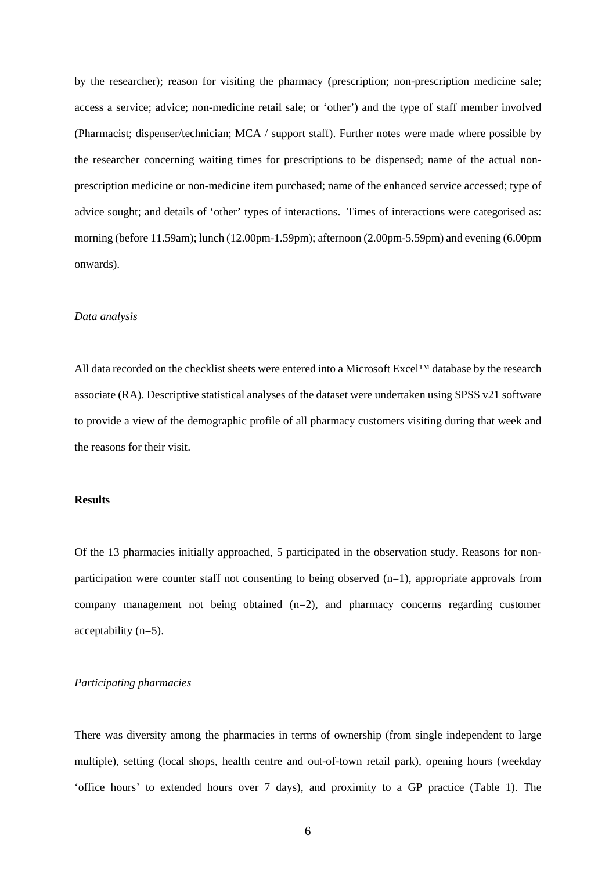by the researcher); reason for visiting the pharmacy (prescription; non-prescription medicine sale; access a service; advice; non-medicine retail sale; or 'other') and the type of staff member involved (Pharmacist; dispenser/technician; MCA / support staff). Further notes were made where possible by the researcher concerning waiting times for prescriptions to be dispensed; name of the actual nonprescription medicine or non-medicine item purchased; name of the enhanced service accessed; type of advice sought; and details of 'other' types of interactions. Times of interactions were categorised as: morning (before 11.59am); lunch (12.00pm-1.59pm); afternoon (2.00pm-5.59pm) and evening (6.00pm onwards).

## *Data analysis*

All data recorded on the checklist sheets were entered into a Microsoft Excel™ database by the research associate (RA). Descriptive statistical analyses of the dataset were undertaken using SPSS v21 software to provide a view of the demographic profile of all pharmacy customers visiting during that week and the reasons for their visit.

## **Results**

Of the 13 pharmacies initially approached, 5 participated in the observation study. Reasons for nonparticipation were counter staff not consenting to being observed  $(n=1)$ , appropriate approvals from company management not being obtained (n=2), and pharmacy concerns regarding customer acceptability (n=5).

## *Participating pharmacies*

There was diversity among the pharmacies in terms of ownership (from single independent to large multiple), setting (local shops, health centre and out-of-town retail park), opening hours (weekday 'office hours' to extended hours over 7 days), and proximity to a GP practice (Table 1). The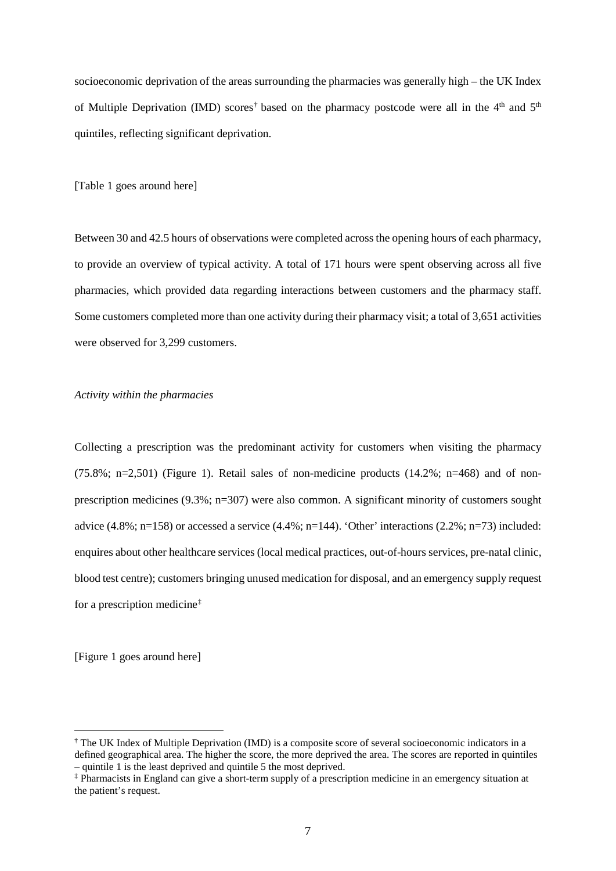socioeconomic deprivation of the areas surrounding the pharmacies was generally high – the UK Index of Multiple Deprivation (IMD) scores<sup>[†](#page-7-0)</sup> based on the pharmacy postcode were all in the 4<sup>th</sup> and 5<sup>th</sup> quintiles, reflecting significant deprivation.

[Table 1 goes around here]

Between 30 and 42.5 hours of observations were completed across the opening hours of each pharmacy, to provide an overview of typical activity. A total of 171 hours were spent observing across all five pharmacies, which provided data regarding interactions between customers and the pharmacy staff. Some customers completed more than one activity during their pharmacy visit; a total of 3,651 activities were observed for 3,299 customers.

## *Activity within the pharmacies*

Collecting a prescription was the predominant activity for customers when visiting the pharmacy  $(75.8\% \text{; } n=2.501)$  (Figure 1). Retail sales of non-medicine products  $(14.2\% \text{; } n=468)$  and of nonprescription medicines (9.3%; n=307) were also common. A significant minority of customers sought advice (4.8%; n=158) or accessed a service (4.4%; n=144). 'Other' interactions (2.2%; n=73) included: enquires about other healthcare services (local medical practices, out-of-hours services, pre-natal clinic, blood test centre); customers bringing unused medication for disposal, and an emergency supply request for a prescription medicine[‡](#page-7-1)

[Figure 1 goes around here]

<span id="page-7-0"></span> <sup>†</sup> The UK Index of Multiple Deprivation (IMD) is a composite score of several socioeconomic indicators in a defined geographical area. The higher the score, the more deprived the area. The scores are reported in quintiles – quintile 1 is the least deprived and quintile 5 the most deprived.

<span id="page-7-1"></span><sup>‡</sup> Pharmacists in England can give a short-term supply of a prescription medicine in an emergency situation at the patient's request.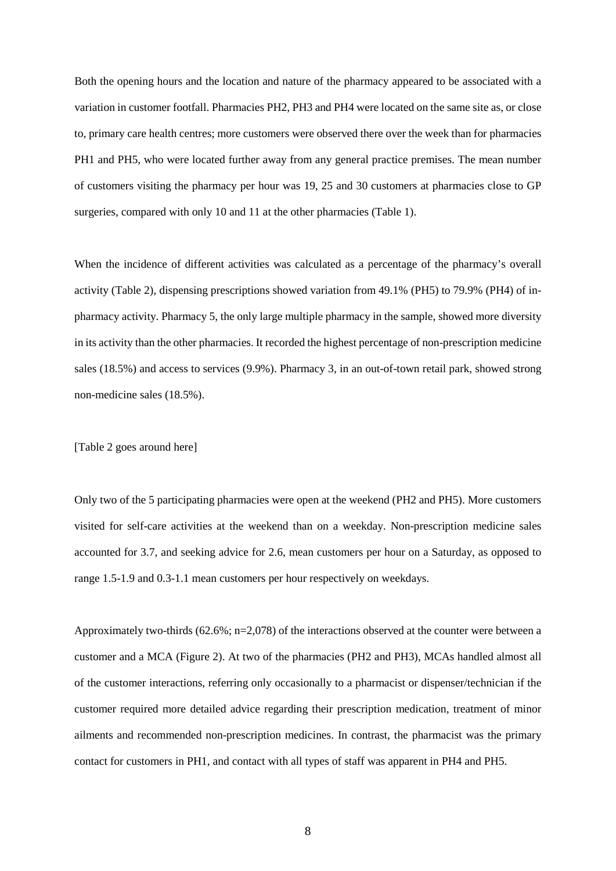Both the opening hours and the location and nature of the pharmacy appeared to be associated with a variation in customer footfall. Pharmacies PH2, PH3 and PH4 were located on the same site as, or close to, primary care health centres; more customers were observed there over the week than for pharmacies PH1 and PH5, who were located further away from any general practice premises. The mean number of customers visiting the pharmacy per hour was 19, 25 and 30 customers at pharmacies close to GP surgeries, compared with only 10 and 11 at the other pharmacies (Table 1).

When the incidence of different activities was calculated as a percentage of the pharmacy's overall activity (Table 2), dispensing prescriptions showed variation from 49.1% (PH5) to 79.9% (PH4) of inpharmacy activity. Pharmacy 5, the only large multiple pharmacy in the sample, showed more diversity in its activity than the other pharmacies. It recorded the highest percentage of non-prescription medicine sales (18.5%) and access to services (9.9%). Pharmacy 3, in an out-of-town retail park, showed strong non-medicine sales (18.5%).

## [Table 2 goes around here]

Only two of the 5 participating pharmacies were open at the weekend (PH2 and PH5). More customers visited for self-care activities at the weekend than on a weekday. Non-prescription medicine sales accounted for 3.7, and seeking advice for 2.6, mean customers per hour on a Saturday, as opposed to range 1.5-1.9 and 0.3-1.1 mean customers per hour respectively on weekdays.

Approximately two-thirds (62.6%; n=2,078) of the interactions observed at the counter were between a customer and a MCA (Figure 2). At two of the pharmacies (PH2 and PH3), MCAs handled almost all of the customer interactions, referring only occasionally to a pharmacist or dispenser/technician if the customer required more detailed advice regarding their prescription medication, treatment of minor ailments and recommended non-prescription medicines. In contrast, the pharmacist was the primary contact for customers in PH1, and contact with all types of staff was apparent in PH4 and PH5.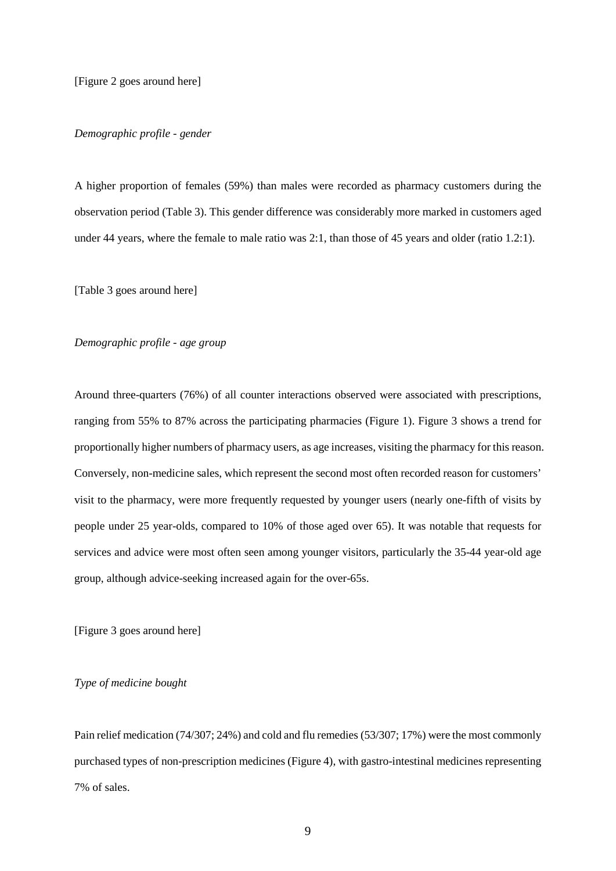## *Demographic profile - gender*

A higher proportion of females (59%) than males were recorded as pharmacy customers during the observation period (Table 3). This gender difference was considerably more marked in customers aged under 44 years, where the female to male ratio was 2:1, than those of 45 years and older (ratio 1.2:1).

[Table 3 goes around here]

## *Demographic profile - age group*

Around three-quarters (76%) of all counter interactions observed were associated with prescriptions, ranging from 55% to 87% across the participating pharmacies (Figure 1). Figure 3 shows a trend for proportionally higher numbers of pharmacy users, as age increases, visiting the pharmacy for this reason. Conversely, non-medicine sales, which represent the second most often recorded reason for customers' visit to the pharmacy, were more frequently requested by younger users (nearly one-fifth of visits by people under 25 year-olds, compared to 10% of those aged over 65). It was notable that requests for services and advice were most often seen among younger visitors, particularly the 35-44 year-old age group, although advice-seeking increased again for the over-65s.

[Figure 3 goes around here]

## *Type of medicine bought*

Pain relief medication (74/307; 24%) and cold and flu remedies (53/307; 17%) were the most commonly purchased types of non-prescription medicines (Figure 4), with gastro-intestinal medicines representing 7% of sales.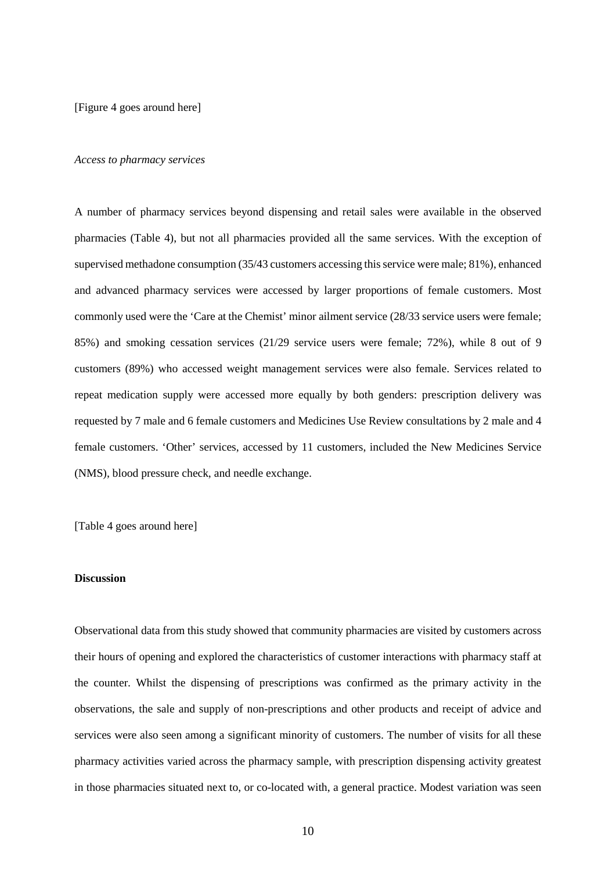[Figure 4 goes around here]

#### *Access to pharmacy services*

A number of pharmacy services beyond dispensing and retail sales were available in the observed pharmacies (Table 4), but not all pharmacies provided all the same services. With the exception of supervised methadone consumption (35/43 customers accessing this service were male; 81%), enhanced and advanced pharmacy services were accessed by larger proportions of female customers. Most commonly used were the 'Care at the Chemist' minor ailment service (28/33 service users were female; 85%) and smoking cessation services (21/29 service users were female; 72%), while 8 out of 9 customers (89%) who accessed weight management services were also female. Services related to repeat medication supply were accessed more equally by both genders: prescription delivery was requested by 7 male and 6 female customers and Medicines Use Review consultations by 2 male and 4 female customers. 'Other' services, accessed by 11 customers, included the New Medicines Service (NMS), blood pressure check, and needle exchange.

[Table 4 goes around here]

## **Discussion**

Observational data from this study showed that community pharmacies are visited by customers across their hours of opening and explored the characteristics of customer interactions with pharmacy staff at the counter. Whilst the dispensing of prescriptions was confirmed as the primary activity in the observations, the sale and supply of non-prescriptions and other products and receipt of advice and services were also seen among a significant minority of customers. The number of visits for all these pharmacy activities varied across the pharmacy sample, with prescription dispensing activity greatest in those pharmacies situated next to, or co-located with, a general practice. Modest variation was seen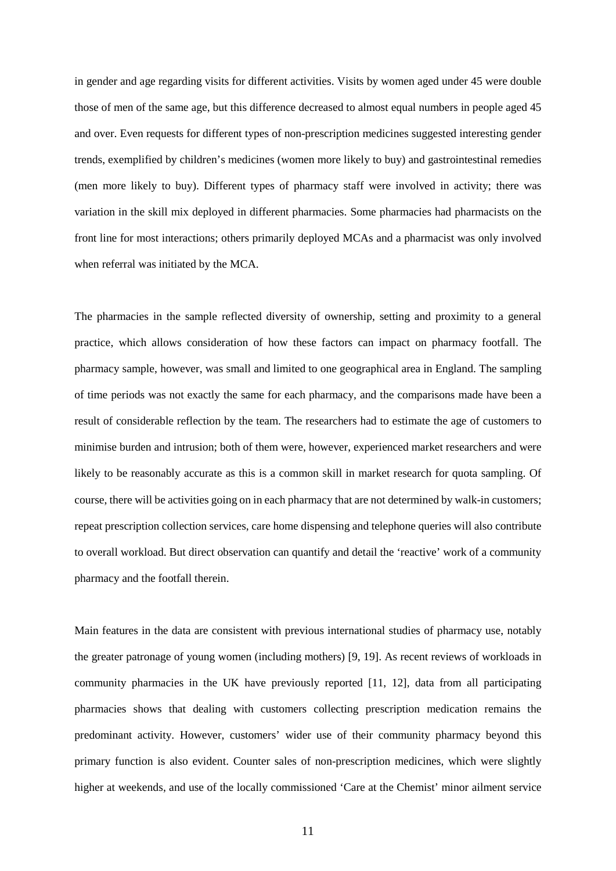in gender and age regarding visits for different activities. Visits by women aged under 45 were double those of men of the same age, but this difference decreased to almost equal numbers in people aged 45 and over. Even requests for different types of non-prescription medicines suggested interesting gender trends, exemplified by children's medicines (women more likely to buy) and gastrointestinal remedies (men more likely to buy). Different types of pharmacy staff were involved in activity; there was variation in the skill mix deployed in different pharmacies. Some pharmacies had pharmacists on the front line for most interactions; others primarily deployed MCAs and a pharmacist was only involved when referral was initiated by the MCA.

The pharmacies in the sample reflected diversity of ownership, setting and proximity to a general practice, which allows consideration of how these factors can impact on pharmacy footfall. The pharmacy sample, however, was small and limited to one geographical area in England. The sampling of time periods was not exactly the same for each pharmacy, and the comparisons made have been a result of considerable reflection by the team. The researchers had to estimate the age of customers to minimise burden and intrusion; both of them were, however, experienced market researchers and were likely to be reasonably accurate as this is a common skill in market research for quota sampling. Of course, there will be activities going on in each pharmacy that are not determined by walk-in customers; repeat prescription collection services, care home dispensing and telephone queries will also contribute to overall workload. But direct observation can quantify and detail the 'reactive' work of a community pharmacy and the footfall therein.

Main features in the data are consistent with previous international studies of pharmacy use, notably the greater patronage of young women (including mothers) [9, 19]. As recent reviews of workloads in community pharmacies in the UK have previously reported [11, 12], data from all participating pharmacies shows that dealing with customers collecting prescription medication remains the predominant activity. However, customers' wider use of their community pharmacy beyond this primary function is also evident. Counter sales of non-prescription medicines, which were slightly higher at weekends, and use of the locally commissioned 'Care at the Chemist' minor ailment service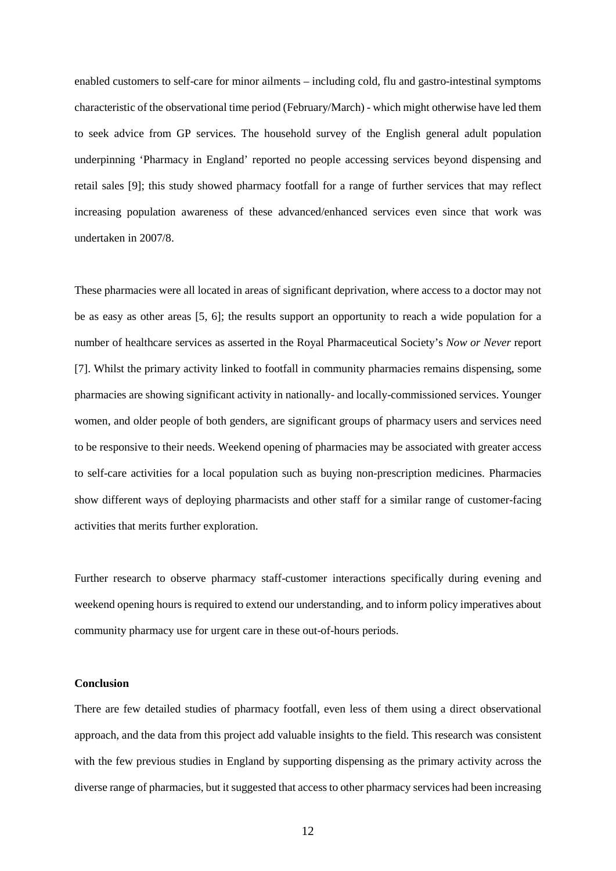enabled customers to self-care for minor ailments – including cold, flu and gastro-intestinal symptoms characteristic of the observational time period (February/March) - which might otherwise have led them to seek advice from GP services. The household survey of the English general adult population underpinning 'Pharmacy in England' reported no people accessing services beyond dispensing and retail sales [9]; this study showed pharmacy footfall for a range of further services that may reflect increasing population awareness of these advanced/enhanced services even since that work was undertaken in 2007/8.

These pharmacies were all located in areas of significant deprivation, where access to a doctor may not be as easy as other areas [5, 6]; the results support an opportunity to reach a wide population for a number of healthcare services as asserted in the Royal Pharmaceutical Society's *Now or Never* report [7]. Whilst the primary activity linked to footfall in community pharmacies remains dispensing, some pharmacies are showing significant activity in nationally- and locally-commissioned services. Younger women, and older people of both genders, are significant groups of pharmacy users and services need to be responsive to their needs. Weekend opening of pharmacies may be associated with greater access to self-care activities for a local population such as buying non-prescription medicines. Pharmacies show different ways of deploying pharmacists and other staff for a similar range of customer-facing activities that merits further exploration.

Further research to observe pharmacy staff-customer interactions specifically during evening and weekend opening hours is required to extend our understanding, and to inform policy imperatives about community pharmacy use for urgent care in these out-of-hours periods.

#### **Conclusion**

There are few detailed studies of pharmacy footfall, even less of them using a direct observational approach, and the data from this project add valuable insights to the field. This research was consistent with the few previous studies in England by supporting dispensing as the primary activity across the diverse range of pharmacies, but it suggested that access to other pharmacy services had been increasing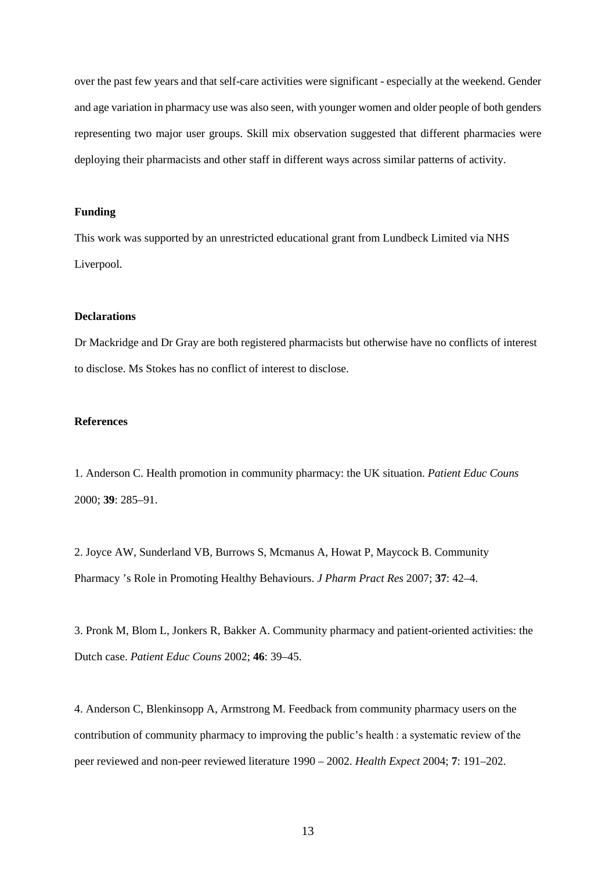over the past few years and that self-care activities were significant - especially at the weekend. Gender and age variation in pharmacy use was also seen, with younger women and older people of both genders representing two major user groups. Skill mix observation suggested that different pharmacies were deploying their pharmacists and other staff in different ways across similar patterns of activity.

## **Funding**

This work was supported by an unrestricted educational grant from Lundbeck Limited via NHS Liverpool.

## **Declarations**

Dr Mackridge and Dr Gray are both registered pharmacists but otherwise have no conflicts of interest to disclose. Ms Stokes has no conflict of interest to disclose.

## **References**

1. Anderson C. Health promotion in community pharmacy: the UK situation. *Patient Educ Couns* 2000; **39**: 285–91.

2. Joyce AW, Sunderland VB, Burrows S, Mcmanus A, Howat P, Maycock B. Community Pharmacy 's Role in Promoting Healthy Behaviours. *J Pharm Pract Res* 2007; **37**: 42–4.

3. Pronk M, Blom L, Jonkers R, Bakker A. Community pharmacy and patient-oriented activities: the Dutch case. *Patient Educ Couns* 2002; **46**: 39–45.

4. Anderson C, Blenkinsopp A, Armstrong M. Feedback from community pharmacy users on the contribution of community pharmacy to improving the public's health : a systematic review of the peer reviewed and non-peer reviewed literature 1990 – 2002. *Health Expect* 2004; **7**: 191–202.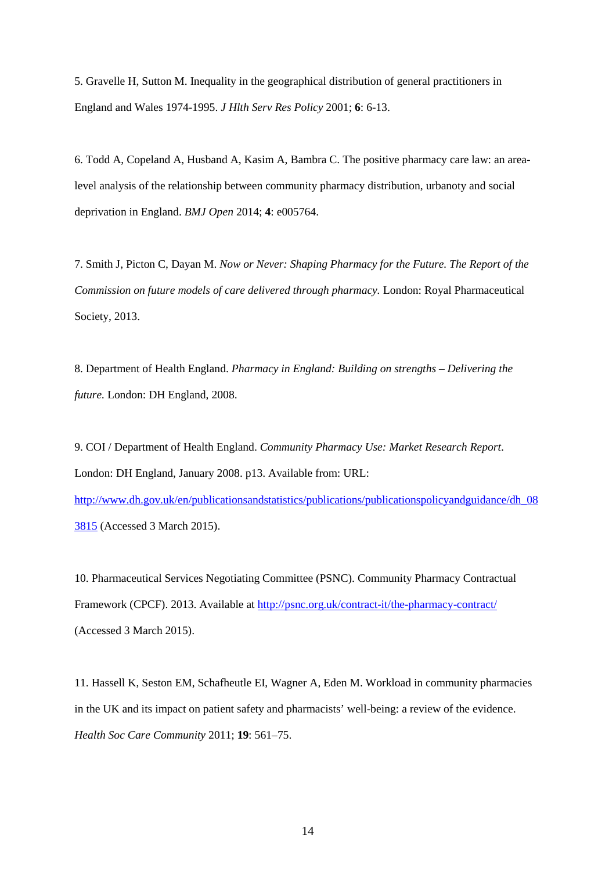5. Gravelle H, Sutton M. Inequality in the geographical distribution of general practitioners in England and Wales 1974-1995. *J Hlth Serv Res Policy* 2001; **6**: 6-13.

6. Todd A, Copeland A, Husband A, Kasim A, Bambra C. The positive pharmacy care law: an arealevel analysis of the relationship between community pharmacy distribution, urbanoty and social deprivation in England. *BMJ Open* 2014; **4**: e005764.

7. Smith J, Picton C, Dayan M. *Now or Never: Shaping Pharmacy for the Future. The Report of the Commission on future models of care delivered through pharmacy.* London: Royal Pharmaceutical Society, 2013.

8. Department of Health England. *Pharmacy in England: Building on strengths – Delivering the future.* London: DH England, 2008.

9. COI / Department of Health England. *Community Pharmacy Use: Market Research Report*. London: DH England, January 2008. p13. Available from: URL: [http://www.dh.gov.uk/en/publicationsandstatistics/publications/publicationspolicyandguidance/dh\\_08](http://www.dh.gov.uk/en/publicationsandstatistics/publications/publicationspolicyandguidance/dh_083815) [3815](http://www.dh.gov.uk/en/publicationsandstatistics/publications/publicationspolicyandguidance/dh_083815) (Accessed 3 March 2015).

10. Pharmaceutical Services Negotiating Committee (PSNC). Community Pharmacy Contractual Framework (CPCF). 2013. Available at<http://psnc.org.uk/contract-it/the-pharmacy-contract/> (Accessed 3 March 2015).

11. Hassell K, Seston EM, Schafheutle EI, Wagner A, Eden M. Workload in community pharmacies in the UK and its impact on patient safety and pharmacists' well-being: a review of the evidence. *Health Soc Care Community* 2011; **19**: 561–75.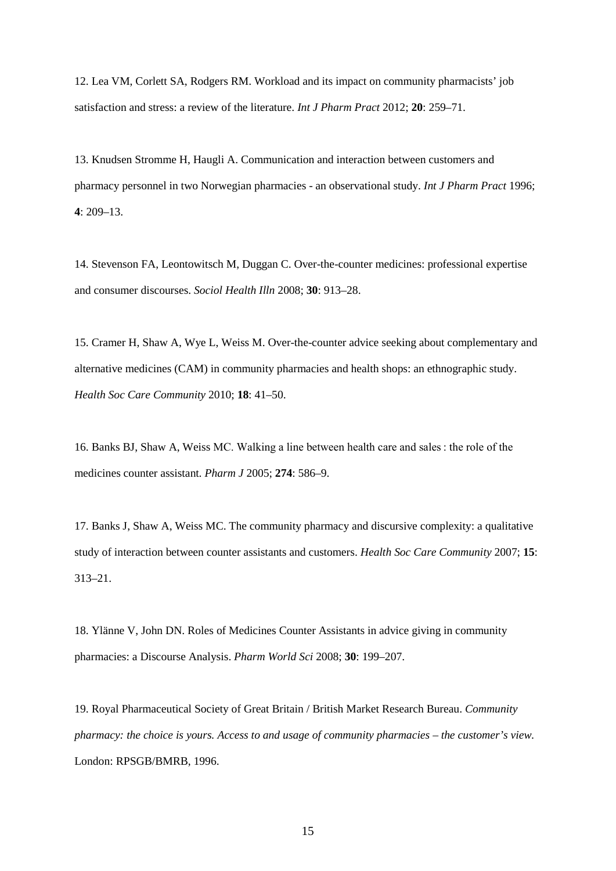12. Lea VM, Corlett SA, Rodgers RM. Workload and its impact on community pharmacists' job satisfaction and stress: a review of the literature. *Int J Pharm Pract* 2012; **20**: 259–71.

13. Knudsen Stromme H, Haugli A. Communication and interaction between customers and pharmacy personnel in two Norwegian pharmacies - an observational study. *Int J Pharm Pract* 1996; **4**: 209–13.

14. Stevenson FA, Leontowitsch M, Duggan C. Over-the-counter medicines: professional expertise and consumer discourses. *Sociol Health Illn* 2008; **30**: 913–28.

15. Cramer H, Shaw A, Wye L, Weiss M. Over-the-counter advice seeking about complementary and alternative medicines (CAM) in community pharmacies and health shops: an ethnographic study. *Health Soc Care Community* 2010; **18**: 41–50.

16. Banks BJ, Shaw A, Weiss MC. Walking a line between health care and sales : the role of the medicines counter assistant. *Pharm J* 2005; **274**: 586–9.

17. Banks J, Shaw A, Weiss MC. The community pharmacy and discursive complexity: a qualitative study of interaction between counter assistants and customers. *Health Soc Care Community* 2007; **15**: 313–21.

18. Ylänne V, John DN. Roles of Medicines Counter Assistants in advice giving in community pharmacies: a Discourse Analysis. *Pharm World Sci* 2008; **30**: 199–207.

19. Royal Pharmaceutical Society of Great Britain / British Market Research Bureau. *Community pharmacy: the choice is yours. Access to and usage of community pharmacies – the customer's view.*  London: RPSGB/BMRB, 1996.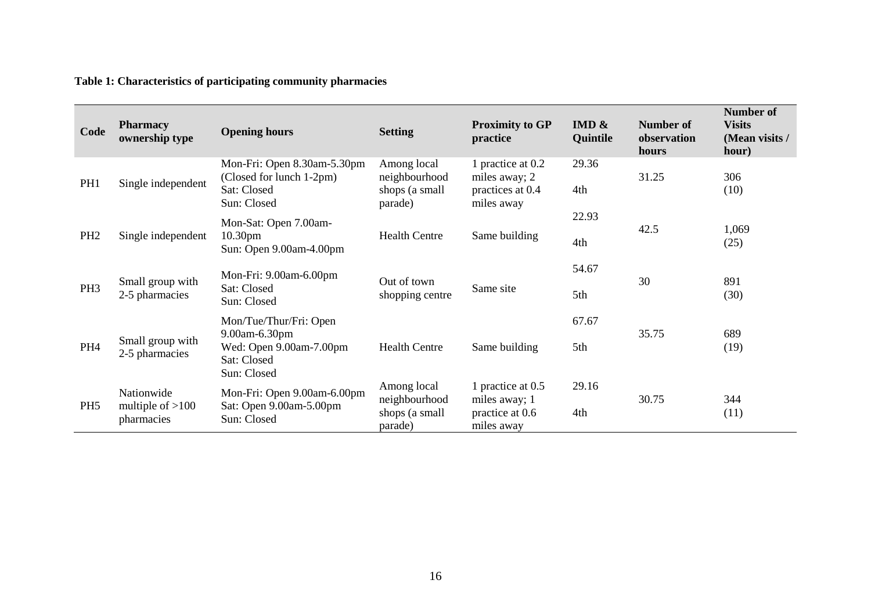## **Table 1: Characteristics of participating community pharmacies**

| Code            | <b>Pharmacy</b><br>ownership type              | <b>Opening hours</b>                                                                             | <b>Setting</b>                                            | <b>Proximity to GP</b><br>practice                                   | IMD $\&$<br>Quintile | <b>Number of</b><br>observation<br>hours | <b>Number of</b><br><b>Visits</b><br>(Mean visits /<br>hour) |
|-----------------|------------------------------------------------|--------------------------------------------------------------------------------------------------|-----------------------------------------------------------|----------------------------------------------------------------------|----------------------|------------------------------------------|--------------------------------------------------------------|
| PH <sub>1</sub> | Single independent                             | Mon-Fri: Open 8.30am-5.30pm<br>(Closed for lunch 1-2pm)<br>Sat: Closed<br>Sun: Closed            | Among local<br>neighbourhood<br>shops (a small<br>parade) | 1 practice at 0.2<br>miles away; 2<br>practices at 0.4<br>miles away | 29.36<br>4th         | 31.25                                    | 306<br>(10)                                                  |
| PH <sub>2</sub> | Single independent                             | Mon-Sat: Open 7.00am-<br>10.30 <sub>pm</sub><br>Sun: Open 9.00am-4.00pm                          | <b>Health Centre</b>                                      | Same building                                                        | 22.93<br>4th         | 42.5                                     | 1,069<br>(25)                                                |
| PH <sub>3</sub> | Small group with<br>2-5 pharmacies             | Mon-Fri: 9.00am-6.00pm<br>Sat: Closed<br>Sun: Closed                                             | Out of town<br>shopping centre                            | Same site                                                            | 54.67<br>5th         | 30                                       | 891<br>(30)                                                  |
| PH <sub>4</sub> | Small group with<br>2-5 pharmacies             | Mon/Tue/Thur/Fri: Open<br>9.00am-6.30pm<br>Wed: Open 9.00am-7.00pm<br>Sat: Closed<br>Sun: Closed | <b>Health Centre</b>                                      | Same building                                                        | 67.67<br>5th         | 35.75                                    | 689<br>(19)                                                  |
| PH <sub>5</sub> | Nationwide<br>multiple of $>100$<br>pharmacies | Mon-Fri: Open 9.00am-6.00pm<br>Sat: Open 9.00am-5.00pm<br>Sun: Closed                            | Among local<br>neighbourhood<br>shops (a small<br>parade) | 1 practice at 0.5<br>miles away; 1<br>practice at 0.6<br>miles away  | 29.16<br>4th         | 30.75                                    | 344<br>(11)                                                  |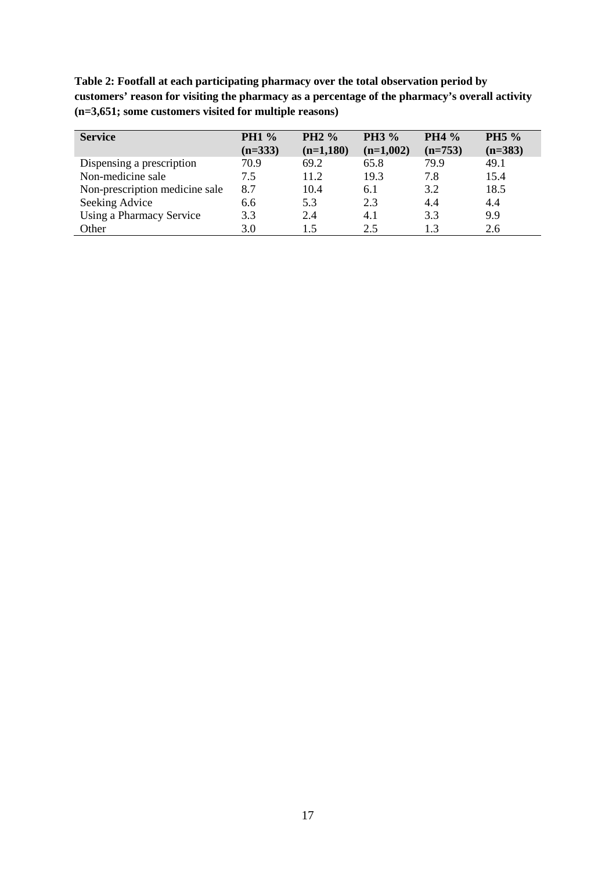**Table 2: Footfall at each participating pharmacy over the total observation period by customers' reason for visiting the pharmacy as a percentage of the pharmacy's overall activity (n=3,651; some customers visited for multiple reasons)**

| <b>Service</b>                 | <b>PH1 %</b><br>$(n=333)$ | <b>PH2</b> %<br>$(n=1,180)$ | <b>PH3</b> %<br>$(n=1,002)$ | <b>PH4 %</b><br>$(n=753)$ | PH5 %<br>$(n=383)$ |
|--------------------------------|---------------------------|-----------------------------|-----------------------------|---------------------------|--------------------|
| Dispensing a prescription      | 70.9                      | 69.2                        | 65.8                        | 79.9                      | 49.1               |
| Non-medicine sale              | 7.5                       | 11.2                        | 19.3                        | 7.8                       | 15.4               |
| Non-prescription medicine sale | 8.7                       | 10.4                        | 6.1                         | 3.2                       | 18.5               |
| Seeking Advice                 | 6.6                       | 5.3                         | 2.3                         | 4.4                       | 4.4                |
| Using a Pharmacy Service       | 3.3                       | 2.4                         | 4.1                         | 3.3                       | 9.9                |
| Other                          | 3.0                       | 1.5                         | 2.5                         | 13                        | 2.6                |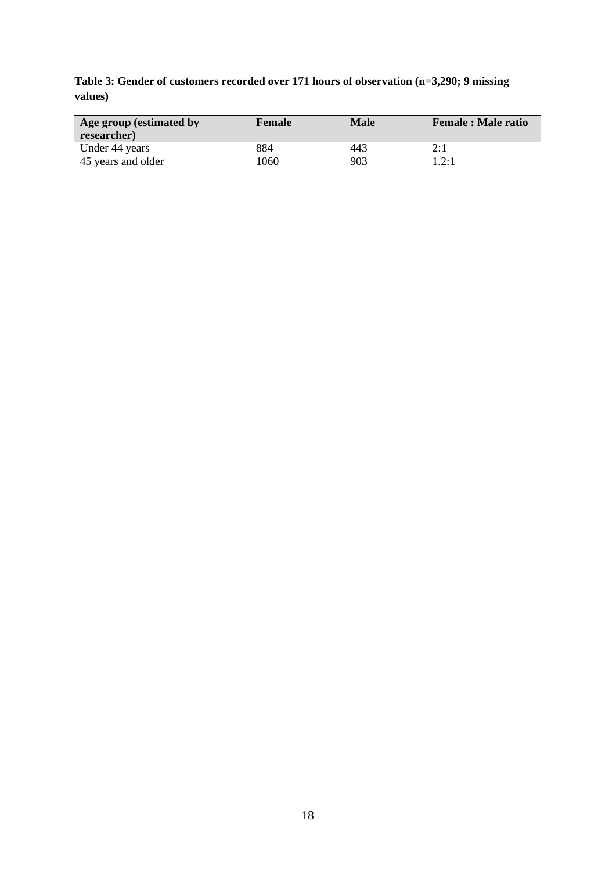**Table 3: Gender of customers recorded over 171 hours of observation (n=3,290; 9 missing values)**

| Age group (estimated by<br>researcher) | <b>Female</b> | <b>Male</b> | <b>Female : Male ratio</b> |
|----------------------------------------|---------------|-------------|----------------------------|
| Under 44 years                         | 884           | 443         | 2:1                        |
| 45 years and older                     | 1060          | 903         | 1.2:1                      |